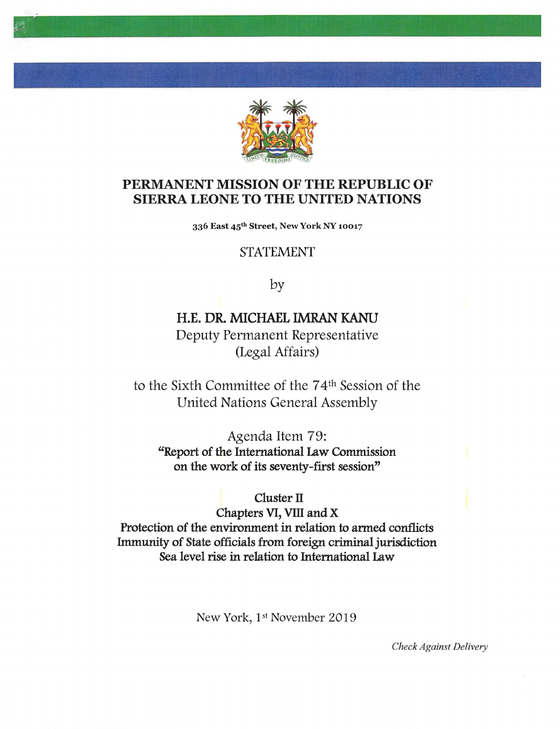

## PERMANENT MISSION OF THE REPUBLIC OF SIERRA LEONE TO THE UNITED NATIONS

336 East 45th Street, New York NY 10017

## STATEMENT

by

# H.E. DR. MICHAEL IMRAN KANU Deputy Permanent Representative (Legal Affairs)

to the Sixth Committee of the 74<sup>th</sup> Session of the United Nations General Assembly

Agenda Item 79: "Report of the International Law Commission on the work of its seventy-first session"

Cluster II

Chapters VI, Yin and X Protection of the environment in relation to armed conflicts Immunity of State officials from foreign criminal jurisdiction Sea level rise in relation to International Law

New York, 1st November 2019

Check Against Delivery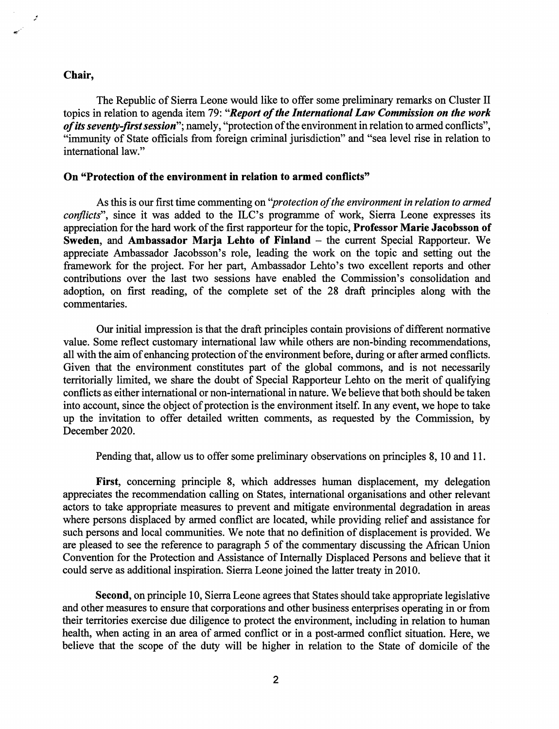#### Chair,

یں

The Republic of Sierra Leone would like to offer some preliminary remarks on Cluster II topics in relation to agenda item 79: "Report of the International Law Commission on the work of its seventy-first session"; namely, "protection of the environment in relation to armed conflicts", "immunity of State officials from foreign criminal jurisdiction" and "sea level rise in relation to intemational law."

#### On "Protection of the environment in relation to armed conflicts"

As this is our first time commenting on "*protection of the environment in relation to armed* conflicts", since it was added to the ILC's programme of work, Sierra Leone expresses its appreciation for the hard work of the first rapporteur for the topic. Professor Marie Jacohsson of Sweden, and Ambassador Marja Lehto of Finland - the current Special Rapporteur. We appreciate Ambassador Jacobsson's role, leading the work on the topic and setting out the framework for the project. For her part. Ambassador Lehto's two excellent reports and other contributions over the last two sessions have enabled the Commission's consolidation and adoption, on first reading, of the complete set of the 28 draft principles along with the commentaries.

Our initial impression is that the draft principles contain provisions of different normative value. Some reflect customary intemational law while others are non-binding recommendations, all with the aim of enhancing protection of the environment before, during or after armed conflicts. Given that the environment constitutes part of the global commons, and is not necessarily territorially limited, we share the doubt of Special Rapporteur Lehto on the merit of qualifying conflicts as either intemational or non-intemational in nature. We believe that both should be taken into account, since the object of protection is the environment itself. In any event, we hope to take up the invitation to offer detailed written comments, as requested by the Commission, by December 2020.

Pending that, allow us to offer some preliminary observations on principles 8,10 and 11.

First, concerning principle 8, which addresses human displacement, my delegation appreciates the recommendation calling on States, intemational organisations and other relevant actors to take appropriate measures to prevent and mitigate environmental degradation in areas where persons displaced by armed conflict are located, while providing relief and assistance for such persons and local communities. We note that no definition of displacement is provided. We are pleased to see the reference to paragraph 5 of the commentary discussing the African Union Convention for the Protection and Assistance of Intemally Displaced Persons and believe that it could serve as additional inspiration. Sierra Leone joined the latter treaty in 2010.

Second, on principle 10, Sierra Leone agrees that States should take appropriate legislative and other measures to ensure that corporations and other business enterprises operating in or from their territories exercise due diligence to protect the environment, including in relation to human health, when acting in an area of armed conflict or in a post-armed conflict situation. Here, we believe that the scope of the duty will be higher in relation to the State of domicile of the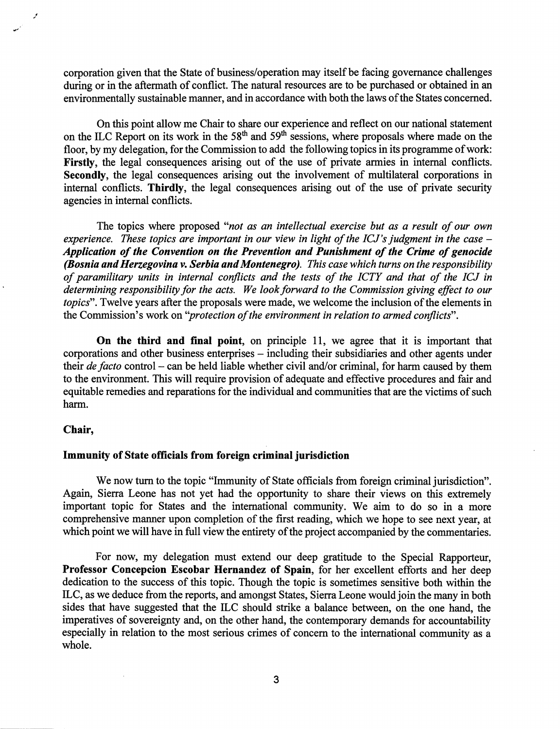corporation given that the State of business/operation may itself be facing governance challenges during or in the aftermath of conflict. The natural resources are to be purchased or obtained in an environmentally sustainable manner, and in accordance with both the laws of the States concerned.

On this point allow me Chair to share our experience and reflect on our national statement on the ILC Report on its work in the 58<sup>th</sup> and 59<sup>th</sup> sessions, where proposals where made on the floor, by my delegation, for the Commission to add the following topics in its programme of work: Firstly, the legal consequences arising out of the use of private armies in internal conflicts. Secondly, the legal consequences arising out the involvement of multilateral corporations in intemal conflicts. Thirdly, the legal consequences arising out of the use of private security agencies in intemal conflicts.

The topics where proposed "not as an intellectual exercise but as a result of our own experience. These topics are important in our view in light of the ICJ's judgment in the case  $-$ Application of the Convention on the Prevention and Punishment of the Crime of genocide (Bosnia and Herzegovina v. Serbia and Montenegro). This case which turns on the responsibility of paramilitary units in internal conflicts and the tests of the ICTY and that of the ICJ in determining responsibility for the acts. We look forward to the Commission giving effect to our topics". Twelve years after the proposals were made, we welcome the inclusion of the elements in the Commission's work on "protection of the environment in relation to armed conflicts".

On the third and final point, on principle 11, we agree that it is important that corporations and other business enterprises – including their subsidiaries and other agents under their de facto control – can be held liable whether civil and/or criminal, for harm caused by them to the environment. This will require provision of adequate and effective procedures and fair and equitable remedies and reparations for the individual and communities that are the victims of such harm.

#### Chair,

#### Immunity of State officials from foreign criminal jurisdiction

We now tum to the topic "Immunity of State officials from foreign criminal jurisdiction". Again, Sierra Leone has not yet had the opportunity to share their views on this extremely important topic for States and the intemational community. We aim to do so in a more comprehensive manner upon completion of the first reading, which we hope to see next year, at which point we will have in full view the entirety of the project accompanied by the commentaries.

For now, my delegation must extend our deep gratitude to the Special Rapporteur, Professor Concepcion Escobar Hernandez of Spain, for her excellent efforts and her deep dedication to the success of this topic. Though the topic is sometimes sensitive both within the ILC, as we deduce from the reports, and amongst States, Sierra Leone would join the many in both sides that have suggested that the ILC should strike a balance between, on the one hand, the imperatives of sovereignty and, on the other hand, the contemporary demands for accountability especially in relation to the most serious crimes of concem to the intemational community as a whole.